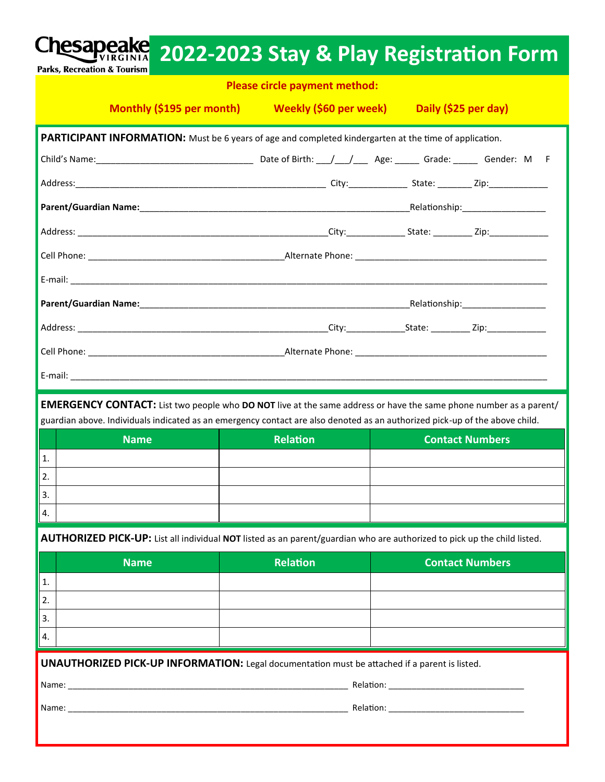|                                              | Please circle payment method:                                                                                                                                                                                                                                  |                        |
|----------------------------------------------|----------------------------------------------------------------------------------------------------------------------------------------------------------------------------------------------------------------------------------------------------------------|------------------------|
|                                              | Monthly (\$195 per month) Weekly (\$60 per week) Daily (\$25 per day)                                                                                                                                                                                          |                        |
|                                              | PARTICIPANT INFORMATION: Must be 6 years of age and completed kindergarten at the time of application.                                                                                                                                                         |                        |
|                                              | Child's Name: Child's Name: Child's Name: Child's Name Child's Name Child's Name: Child's Name: Child's Name: M                                                                                                                                                |                        |
|                                              |                                                                                                                                                                                                                                                                |                        |
|                                              |                                                                                                                                                                                                                                                                |                        |
|                                              |                                                                                                                                                                                                                                                                |                        |
|                                              |                                                                                                                                                                                                                                                                |                        |
|                                              |                                                                                                                                                                                                                                                                |                        |
|                                              |                                                                                                                                                                                                                                                                |                        |
|                                              |                                                                                                                                                                                                                                                                |                        |
|                                              |                                                                                                                                                                                                                                                                |                        |
|                                              | <b>EMERGENCY CONTACT:</b> List two people who <b>DO NOT</b> live at the same address or have the same phone number as a parent/<br>guardian above. Individuals indicated as an emergency contact are also denoted as an authorized pick-up of the above child. |                        |
|                                              | <b>Relation</b>                                                                                                                                                                                                                                                |                        |
| <b>Name</b>                                  |                                                                                                                                                                                                                                                                | <b>Contact Numbers</b> |
|                                              |                                                                                                                                                                                                                                                                |                        |
|                                              |                                                                                                                                                                                                                                                                |                        |
|                                              |                                                                                                                                                                                                                                                                |                        |
|                                              | AUTHORIZED PICK-UP: List all individual NOT listed as an parent/guardian who are authorized to pick up the child listed.                                                                                                                                       |                        |
| <b>Name</b>                                  | <b>Relation</b>                                                                                                                                                                                                                                                | <b>Contact Numbers</b> |
|                                              |                                                                                                                                                                                                                                                                |                        |
|                                              |                                                                                                                                                                                                                                                                |                        |
|                                              |                                                                                                                                                                                                                                                                |                        |
|                                              |                                                                                                                                                                                                                                                                |                        |
| 1.<br>2.<br>3.<br>4.<br>1.<br>2.<br>3.<br>4. | <b>UNAUTHORIZED PICK-UP INFORMATION:</b> Legal documentation must be attached if a parent is listed.                                                                                                                                                           |                        |